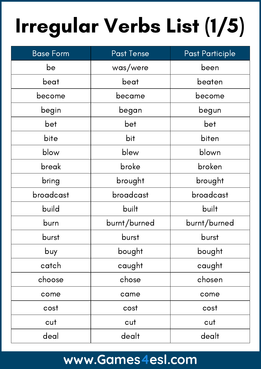# Irregular Verbs List (1/5)

| <b>Base Form</b> | <b>Past Tense</b> | Past Participle |
|------------------|-------------------|-----------------|
| be               | was/were          | been            |
| beat             | beat              | beaten          |
| become           | became            | become          |
| begin            | began             | begun           |
| bet              | bet               | bet             |
| bite             | bit               | biten           |
| blow             | blew              | blown           |
| break            | broke             | broken          |
| bring            | brought           | brought         |
| broadcast        | broadcast         | broadcast       |
| build            | built             | built           |
| burn             | burnt/burned      | burnt/burned    |
| burst            | burst             | burst           |
| buy              | bought            | bought          |
| catch            | caught            | caught          |
| choose           | chose             | chosen          |
| come             | came              | come            |
| cost             | cost              | cost            |
| cut              | cut               | cut             |
| deal             | dealt             | dealt           |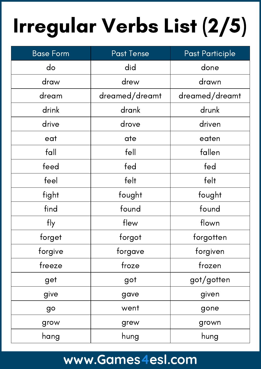# Irregular Verbs List (2/5)

| <b>Base Form</b> | <b>Past Tense</b> | <b>Past Participle</b> |
|------------------|-------------------|------------------------|
| do               | did               | done                   |
| draw             | drew              | drawn                  |
| dream            | dreamed/dreamt    | dreamed/dreamt         |
| drink            | drank             | drunk                  |
| drive            | drove             | driven                 |
| eat              | ate               | eaten                  |
| fall             | fell              | fallen                 |
| feed             | fed               | fed                    |
| feel             | felt              | felt                   |
| fight            | fought            | fought                 |
| find             | found             | found                  |
| fly              | flew              | flown                  |
| forget           | forgot            | forgotten              |
| forgive          | forgave           | forgiven               |
| freeze           | froze             | frozen                 |
| get              | got               | got/gotten             |
| give             | gave              | given                  |
| go               | went              | gone                   |
| grow             | grew              | grown                  |
| hang             | hung              | hung                   |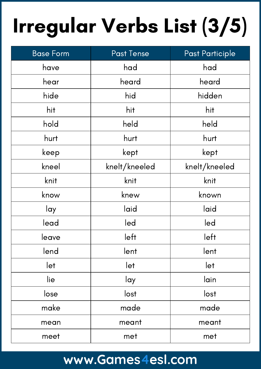# Irregular Verbs List (3/5)

| <b>Base Form</b> | <b>Past Tense</b> | <b>Past Participle</b> |
|------------------|-------------------|------------------------|
| have             | had               | had                    |
| hear             | heard             | heard                  |
| hide             | hid               | hidden                 |
| hit              | hit               | hit                    |
| hold             | held              | held                   |
| hurt             | hurt              | hurt                   |
| keep             | kept              | kept                   |
| kneel            | knelt/kneeled     | knelt/kneeled          |
| knit             | knit              | knit                   |
| know             | knew              | known                  |
| lay              | laid              | laid                   |
| lead             | led               | led                    |
| leave            | left              | left                   |
| lend             | lent              | lent                   |
| let              | let               | let                    |
| lie              | lay               | lain                   |
| lose             | lost              | lost                   |
| make             | made              | made                   |
| mean             | meant             | meant                  |
| meet             | met               | met                    |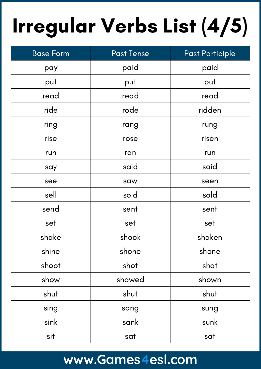# Irregular Verbs List (4/5)

| <b>Base Form</b> | Past Tense | Past Participle |
|------------------|------------|-----------------|
| pay              | paid       | paid            |
| put              | put        | put             |
| read             | read       | read            |
| ride             | rode       | ridden          |
| ring             | rang       | rung            |
| rise             | rose       | risen           |
| run              | ran        | run             |
| say              | said       | said            |
| see              | saw        | seen            |
| sell             | sold       | sold            |
| send             | sent       | sent            |
| set              | set        | set             |
| shake            | shook      | shaken          |
| shine            | shone      | shone           |
| shoot            | shot       | shot            |
| show             | showed     | shown           |
| shut             | shut       | shut            |
| sing             | sang       | sung            |
| sink             | sank       | sunk            |
| sit              | sat        | sat             |